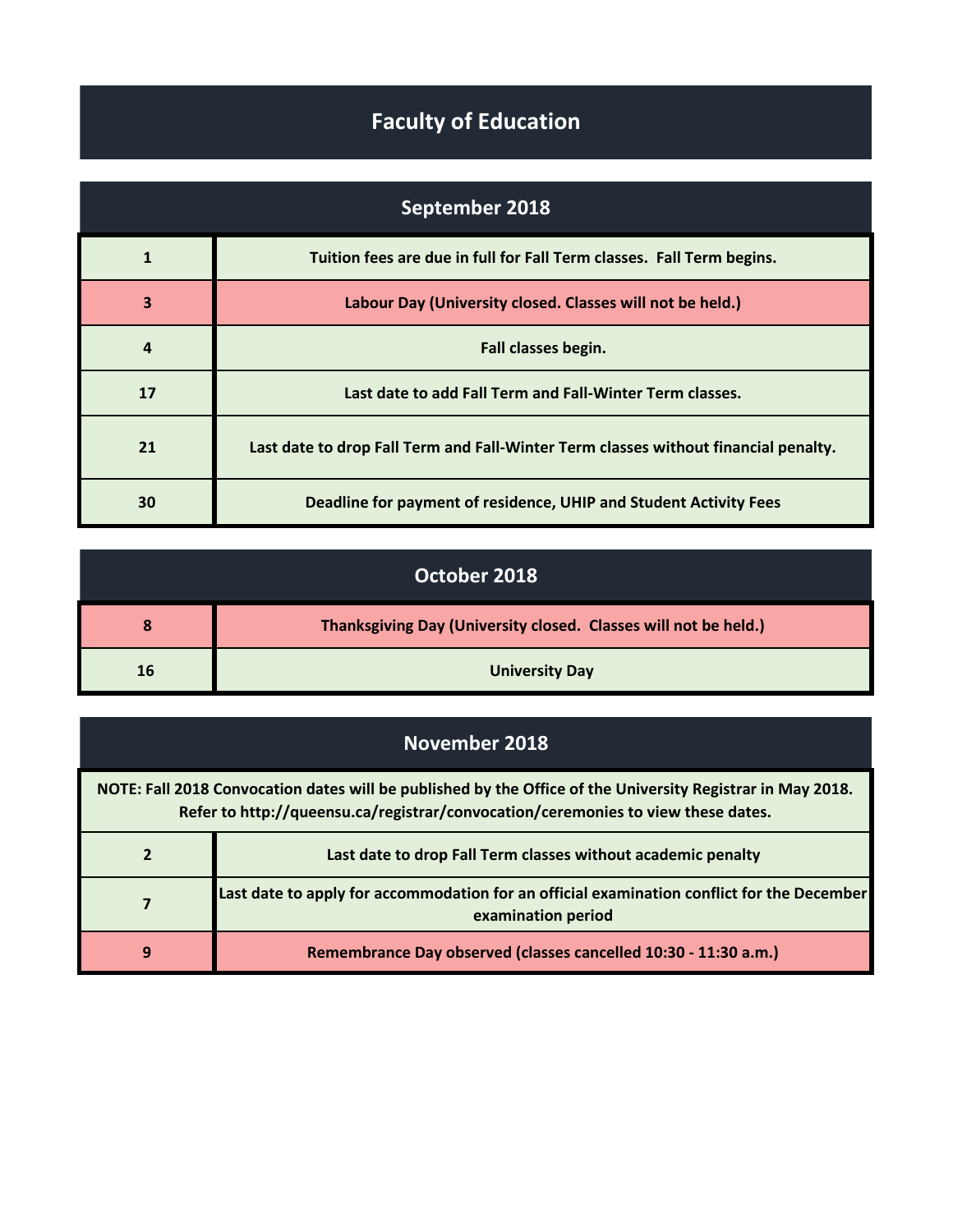## **Faculty of Education**

| September 2018 |                                                                                     |
|----------------|-------------------------------------------------------------------------------------|
| 1              | Tuition fees are due in full for Fall Term classes. Fall Term begins.               |
| 3              | Labour Day (University closed. Classes will not be held.)                           |
| $\overline{a}$ | Fall classes begin.                                                                 |
| 17             | Last date to add Fall Term and Fall-Winter Term classes.                            |
| 21             | Last date to drop Fall Term and Fall-Winter Term classes without financial penalty. |
| 30             | Deadline for payment of residence, UHIP and Student Activity Fees                   |

| October 2018 |                                                                 |
|--------------|-----------------------------------------------------------------|
| 8            | Thanksgiving Day (University closed. Classes will not be held.) |
| 16           | <b>University Day</b>                                           |

## **November 2018**

| NOTE: Fall 2018 Convocation dates will be published by the Office of the University Registrar in May 2018.<br>Refer to http://queensu.ca/registrar/convocation/ceremonies to view these dates. |                                                                                                                  |
|------------------------------------------------------------------------------------------------------------------------------------------------------------------------------------------------|------------------------------------------------------------------------------------------------------------------|
|                                                                                                                                                                                                | Last date to drop Fall Term classes without academic penalty                                                     |
| 7                                                                                                                                                                                              | Last date to apply for accommodation for an official examination conflict for the December<br>examination period |
| 9                                                                                                                                                                                              | Remembrance Day observed (classes cancelled 10:30 - 11:30 a.m.)                                                  |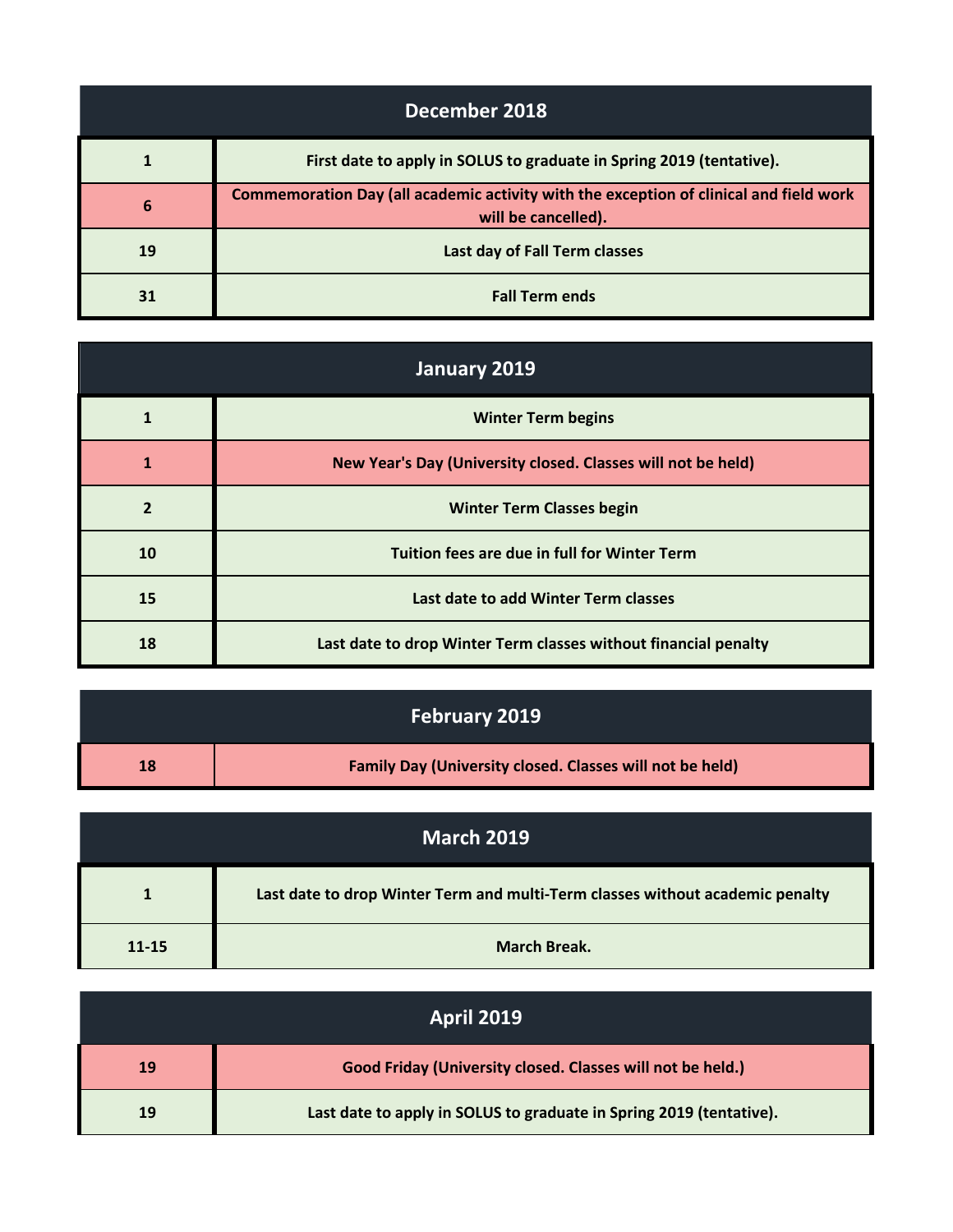| December 2018 |                                                                                                               |
|---------------|---------------------------------------------------------------------------------------------------------------|
| 1             | First date to apply in SOLUS to graduate in Spring 2019 (tentative).                                          |
| 6             | Commemoration Day (all academic activity with the exception of clinical and field work<br>will be cancelled). |
| 19            | Last day of Fall Term classes                                                                                 |
| 31            | <b>Fall Term ends</b>                                                                                         |

| January 2019   |                                                                 |
|----------------|-----------------------------------------------------------------|
| 1              | <b>Winter Term begins</b>                                       |
| 1              | New Year's Day (University closed. Classes will not be held)    |
| $\overline{2}$ | <b>Winter Term Classes begin</b>                                |
| 10             | Tuition fees are due in full for Winter Term                    |
| 15             | Last date to add Winter Term classes                            |
| 18             | Last date to drop Winter Term classes without financial penalty |

| <b>February 2019</b> |                                                                 |
|----------------------|-----------------------------------------------------------------|
| 18                   | <b>Family Day (University closed. Classes will not be held)</b> |

| <b>March 2019</b> |                                                                               |
|-------------------|-------------------------------------------------------------------------------|
|                   | Last date to drop Winter Term and multi-Term classes without academic penalty |
| $11 - 15$         | <b>March Break.</b>                                                           |

| <b>April 2019</b> |                                                                     |
|-------------------|---------------------------------------------------------------------|
| 19                | Good Friday (University closed. Classes will not be held.)          |
| 19                | Last date to apply in SOLUS to graduate in Spring 2019 (tentative). |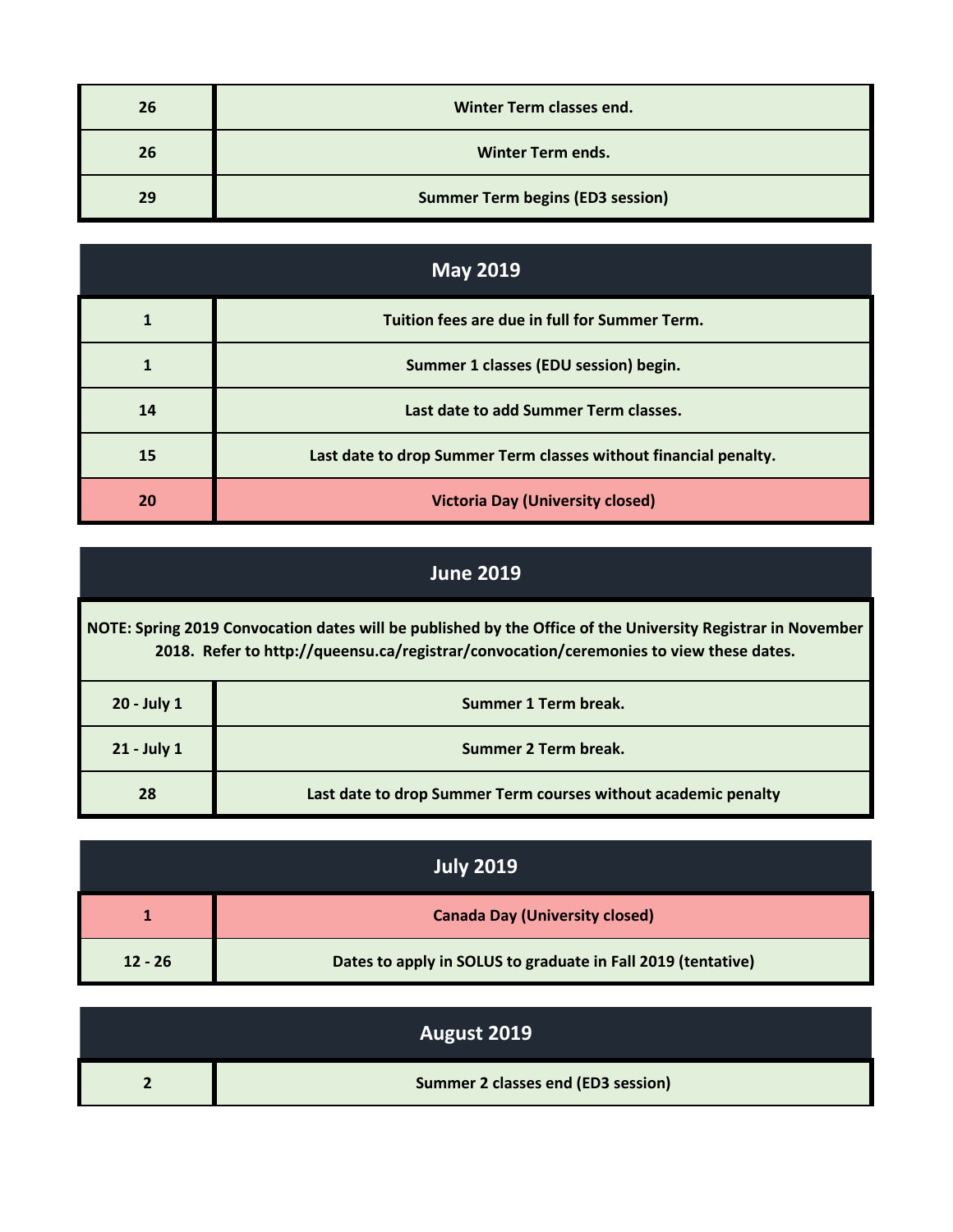| 26 | Winter Term classes end.                |
|----|-----------------------------------------|
| 26 | <b>Winter Term ends.</b>                |
| 29 | <b>Summer Term begins (ED3 session)</b> |

| <b>May 2019</b> |                                                                  |
|-----------------|------------------------------------------------------------------|
|                 | Tuition fees are due in full for Summer Term.                    |
|                 | Summer 1 classes (EDU session) begin.                            |
| 14              | Last date to add Summer Term classes.                            |
| 15              | Last date to drop Summer Term classes without financial penalty. |
| 20              | <b>Victoria Day (University closed)</b>                          |

## **June 2019**

**NOTE: Spring 2019 Convocation dates will be published by the Office of the University Registrar in November 2018. Refer to http://queensu.ca/registrar/convocation/ceremonies to view these dates.**

| 20 - July 1 | Summer 1 Term break.                                           |
|-------------|----------------------------------------------------------------|
| 21 - July 1 | Summer 2 Term break.                                           |
| 28          | Last date to drop Summer Term courses without academic penalty |

| <b>July 2019</b> |                                                              |
|------------------|--------------------------------------------------------------|
| 1                | <b>Canada Day (University closed)</b>                        |
| $12 - 26$        | Dates to apply in SOLUS to graduate in Fall 2019 (tentative) |

| August 2019                        |
|------------------------------------|
| Summer 2 classes end (ED3 session) |